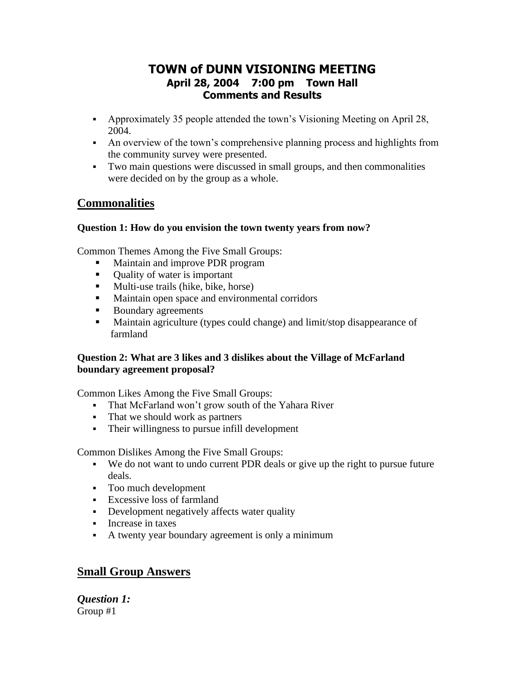# **TOWN of DUNN VISIONING MEETING April 28, 2004 7:00 pm Town Hall Comments and Results**

- Approximately 35 people attended the town's Visioning Meeting on April 28, 2004.
- An overview of the town's comprehensive planning process and highlights from the community survey were presented.
- Two main questions were discussed in small groups, and then commonalities were decided on by the group as a whole.

## **Commonalities**

## **Question 1: How do you envision the town twenty years from now?**

Common Themes Among the Five Small Groups:

- Maintain and improve PDR program
- Quality of water is important
- Multi-use trails (hike, bike, horse)
- Maintain open space and environmental corridors
- Boundary agreements
- Maintain agriculture (types could change) and limit/stop disappearance of farmland

## **Question 2: What are 3 likes and 3 dislikes about the Village of McFarland boundary agreement proposal?**

Common Likes Among the Five Small Groups:

- That McFarland won't grow south of the Yahara River
- That we should work as partners
- Their willingness to pursue infill development

Common Dislikes Among the Five Small Groups:

- We do not want to undo current PDR deals or give up the right to pursue future deals.
- Too much development
- **Excessive loss of farmland**
- **•** Development negatively affects water quality
- Increase in taxes
- A twenty year boundary agreement is only a minimum

# **Small Group Answers**

*Question 1:* Group #1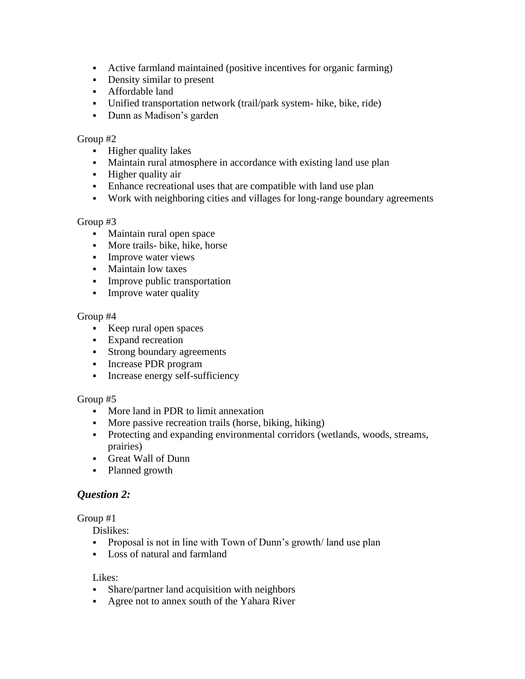- Active farmland maintained (positive incentives for organic farming)
- **•** Density similar to present
- **•** Affordable land
- Unified transportation network (trail/park system- hike, bike, ride)
- Dunn as Madison's garden

#### Group #2

- Higher quality lakes
- Maintain rural atmosphere in accordance with existing land use plan
- Higher quality air
- Enhance recreational uses that are compatible with land use plan
- Work with neighboring cities and villages for long-range boundary agreements

#### Group #3

- Maintain rural open space
- **•** More trails- bike, hike, horse
- **•** Improve water views
- Maintain low taxes
- **•** Improve public transportation
- **•** Improve water quality

#### Group #4

- Keep rural open spaces
- Expand recreation
- Strong boundary agreements
- **•** Increase PDR program
- **•** Increase energy self-sufficiency

#### Group #5

- More land in PDR to limit annexation
- More passive recreation trails (horse, biking, hiking)
- Protecting and expanding environmental corridors (wetlands, woods, streams, prairies)
- Great Wall of Dunn
- Planned growth

## *Question 2:*

#### Group #1

Dislikes:

- Proposal is not in line with Town of Dunn's growth/land use plan
- Loss of natural and farmland

#### Likes:

- **•** Share/partner land acquisition with neighbors
- Agree not to annex south of the Yahara River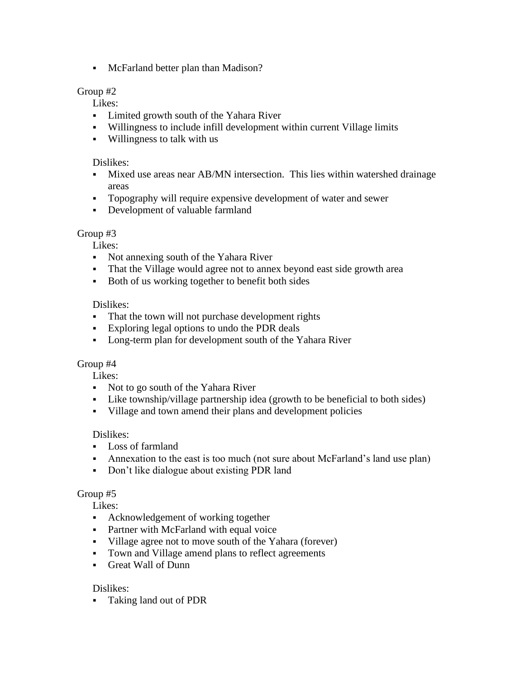▪ McFarland better plan than Madison?

### Group #2

Likes:

- Limited growth south of the Yahara River
- Willingness to include infill development within current Village limits
- Willingness to talk with us

#### Dislikes:

- Mixed use areas near AB/MN intersection. This lies within watershed drainage areas
- Topography will require expensive development of water and sewer
- Development of valuable farmland

#### Group #3

Likes:

- Not annexing south of the Yahara River
- That the Village would agree not to annex beyond east side growth area
- Both of us working together to benefit both sides

#### Dislikes:

- **•** That the town will not purchase development rights
- Exploring legal options to undo the PDR deals
- Long-term plan for development south of the Yahara River

#### Group #4

Likes:

- Not to go south of the Yahara River
- Like township/village partnership idea (growth to be beneficial to both sides)
- Village and town amend their plans and development policies

#### Dislikes:

- Loss of farmland
- Annexation to the east is too much (not sure about McFarland's land use plan)
- Don't like dialogue about existing PDR land

#### Group #5

Likes:

- Acknowledgement of working together
- **•** Partner with McFarland with equal voice
- Village agree not to move south of the Yahara (forever)
- Town and Village amend plans to reflect agreements
- Great Wall of Dunn

#### Dislikes:

▪ Taking land out of PDR